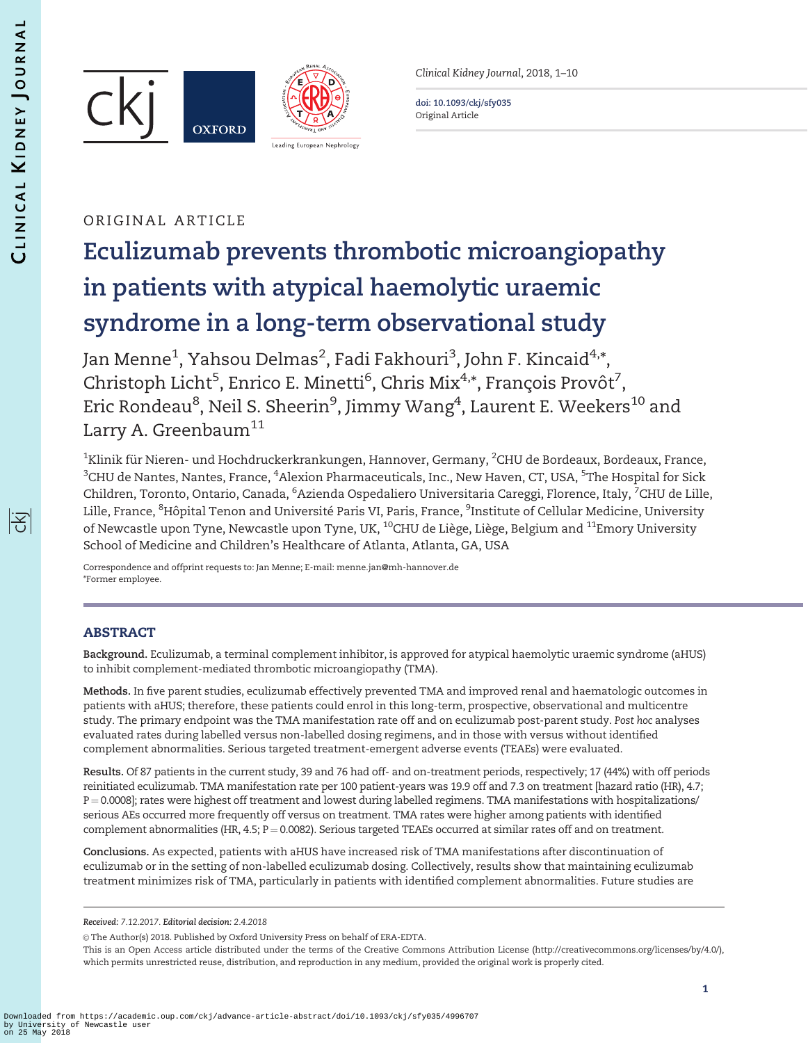序





Clinical Kidney Journal, 2018, 1–10

doi: 10.1093/ckj/sfy035 Original Article

# ORIGINAL ARTICLE

# Eculizumab prevents thrombotic microangiopathy in patients with atypical haemolytic uraemic syndrome in a long-term observational study

Jan Menne<sup>1</sup>, Yahsou Delmas<sup>2</sup>, Fadi Fakhouri<sup>3</sup>, John F. Kincaid<sup>4,</sup>\*, Christoph Licht<sup>5</sup>, Enrico E. Minetti<sup>6</sup>, Chris Mix<sup>4,</sup>\*, François Provôt<sup>7</sup>, Eric Rondeau<sup>8</sup>, Neil S. Sheerin<sup>9</sup>, Jimmy Wang<sup>4</sup>, Laurent E. Weekers<sup>10</sup> and Larry A. Greenbaum $^{11}$ 

 $^{\rm 1}$ Klinik für Nieren- und Hochdruckerkrankungen, Hannover, Germany,  $^{\rm 2}$ CHU de Bordeaux, Bordeaux, France,  $^3$ CHU de Nantes, Nantes, France,  $^4$ Alexion Pharmaceuticals, Inc., New Haven, CT, USA,  $^5$ The Hospital for Sick Children, Toronto, Ontario, Canada, <sup>6</sup>Azienda Ospedaliero Universitaria Careggi, Florence, Italy, <sup>7</sup>CHU de Lille, Lille, France, <sup>8</sup>Hôpital Tenon and Université Paris VI, Paris, France, <sup>9</sup>Institute of Cellular Medicine, University of Newcastle upon Tyne, Newcastle upon Tyne, UK, <sup>10</sup>CHU de Liège, Liège, Belgium and <sup>11</sup>Emory University School of Medicine and Children's Healthcare of Atlanta, Atlanta, GA, USA

Correspondence and offprint requests to: Jan Menne; E-mail: menne.jan@mh-hannover.de \*Former employee.

# ABSTRACT

Background. Eculizumab, a terminal complement inhibitor, is approved for atypical haemolytic uraemic syndrome (aHUS) to inhibit complement-mediated thrombotic microangiopathy (TMA).

Methods. In five parent studies, eculizumab effectively prevented TMA and improved renal and haematologic outcomes in patients with aHUS; therefore, these patients could enrol in this long-term, prospective, observational and multicentre study. The primary endpoint was the TMA manifestation rate off and on eculizumab post-parent study. Post hoc analyses evaluated rates during labelled versus non-labelled dosing regimens, and in those with versus without identified complement abnormalities. Serious targeted treatment-emergent adverse events (TEAEs) were evaluated.

Results. Of 87 patients in the current study, 39 and 76 had off- and on-treatment periods, respectively; 17 (44%) with off periods reinitiated eculizumab. TMA manifestation rate per 100 patient-years was 19.9 off and 7.3 on treatment [hazard ratio (HR), 4.7; P = 0.0008]; rates were highest off treatment and lowest during labelled regimens. TMA manifestations with hospitalizations/ serious AEs occurred more frequently off versus on treatment. TMA rates were higher among patients with identified complement abnormalities (HR,  $4.5$ ;  $P = 0.0082$ ). Serious targeted TEAEs occurred at similar rates off and on treatment.

Conclusions. As expected, patients with aHUS have increased risk of TMA manifestations after discontinuation of eculizumab or in the setting of non-labelled eculizumab dosing. Collectively, results show that maintaining eculizumab treatment minimizes risk of TMA, particularly in patients with identified complement abnormalities. Future studies are

 $\circ$  The Author(s) 2018. Published by Oxford University Press on behalf of ERA-EDTA.

This is an Open Access article distributed under the terms of the Creative Commons Attribution License (http://creativecommons.org/licenses/by/4.0/), which permits unrestricted reuse, distribution, and reproduction in any medium, provided the original work is properly cited.

Received: 7.12.2017. Editorial decision: 2.4.2018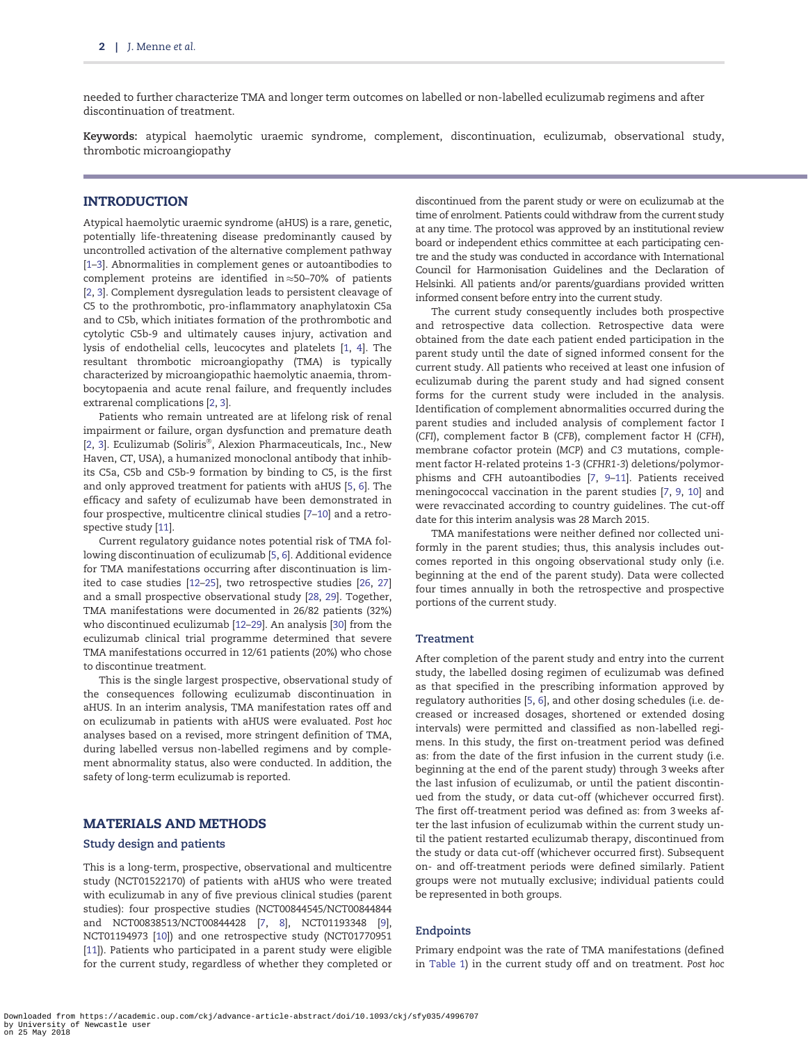<span id="page-1-0"></span>needed to further characterize TMA and longer term outcomes on labelled or non-labelled eculizumab regimens and after discontinuation of treatment.

Keywords: atypical haemolytic uraemic syndrome, complement, discontinuation, eculizumab, observational study, thrombotic microangiopathy

# INTRODUCTION

Atypical haemolytic uraemic syndrome (aHUS) is a rare, genetic, potentially life-threatening disease predominantly caused by uncontrolled activation of the alternative complement pathway [\[1–3\]](#page-8-0). Abnormalities in complement genes or autoantibodies to complement proteins are identified in $\approx$ 50–70% of patients [\[2,](#page-8-0) [3\]](#page-8-0). Complement dysregulation leads to persistent cleavage of C5 to the prothrombotic, pro-inflammatory anaphylatoxin C5a and to C5b, which initiates formation of the prothrombotic and cytolytic C5b-9 and ultimately causes injury, activation and lysis of endothelial cells, leucocytes and platelets [[1,](#page-8-0) [4\]](#page-8-0). The resultant thrombotic microangiopathy (TMA) is typically characterized by microangiopathic haemolytic anaemia, thrombocytopaenia and acute renal failure, and frequently includes extrarenal complications [[2,](#page-8-0) [3\]](#page-8-0).

Patients who remain untreated are at lifelong risk of renal impairment or failure, organ dysfunction and premature death [\[2,](#page-8-0) [3\]](#page-8-0). Eculizumab (Soliris®, Alexion Pharmaceuticals, Inc., New Haven, CT, USA), a humanized monoclonal antibody that inhibits C5a, C5b and C5b-9 formation by binding to C5, is the first and only approved treatment for patients with aHUS [\[5,](#page-8-0) [6](#page-8-0)]. The efficacy and safety of eculizumab have been demonstrated in four prospective, multicentre clinical studies [[7–10\]](#page-8-0) and a retrospective study [[11](#page-8-0)].

Current regulatory guidance notes potential risk of TMA following discontinuation of eculizumab [[5,](#page-8-0) [6\]](#page-8-0). Additional evidence for TMA manifestations occurring after discontinuation is limited to case studies [\[12](#page-8-0)[–25\]](#page-9-0), two retrospective studies [[26,](#page-9-0) [27\]](#page-9-0) and a small prospective observational study [[28,](#page-9-0) [29](#page-9-0)]. Together, TMA manifestations were documented in 26/82 patients (32%) who discontinued eculizumab [\[12](#page-8-0)[–29\]](#page-9-0). An analysis [\[30\]](#page-9-0) from the eculizumab clinical trial programme determined that severe TMA manifestations occurred in 12/61 patients (20%) who chose to discontinue treatment.

This is the single largest prospective, observational study of the consequences following eculizumab discontinuation in aHUS. In an interim analysis, TMA manifestation rates off and on eculizumab in patients with aHUS were evaluated. Post hoc analyses based on a revised, more stringent definition of TMA, during labelled versus non-labelled regimens and by complement abnormality status, also were conducted. In addition, the safety of long-term eculizumab is reported.

### MATERIALS AND METHODS

#### Study design and patients

This is a long-term, prospective, observational and multicentre study (NCT01522170) of patients with aHUS who were treated with eculizumab in any of five previous clinical studies (parent studies): four prospective studies (NCT00844545/NCT00844844 and NCT00838513/NCT00844428 [\[7](#page-8-0), [8\]](#page-8-0), NCT01193348 [[9\]](#page-8-0), NCT01194973 [\[10\]](#page-8-0)) and one retrospective study (NCT01770951 [\[11\]](#page-8-0)). Patients who participated in a parent study were eligible for the current study, regardless of whether they completed or

discontinued from the parent study or were on eculizumab at the time of enrolment. Patients could withdraw from the current study at any time. The protocol was approved by an institutional review board or independent ethics committee at each participating centre and the study was conducted in accordance with International Council for Harmonisation Guidelines and the Declaration of Helsinki. All patients and/or parents/guardians provided written informed consent before entry into the current study.

The current study consequently includes both prospective and retrospective data collection. Retrospective data were obtained from the date each patient ended participation in the parent study until the date of signed informed consent for the current study. All patients who received at least one infusion of eculizumab during the parent study and had signed consent forms for the current study were included in the analysis. Identification of complement abnormalities occurred during the parent studies and included analysis of complement factor I (CFI), complement factor B (CFB), complement factor H (CFH), membrane cofactor protein (MCP) and C3 mutations, complement factor H-related proteins 1-3 (CFHR1-3) deletions/polymorphisms and CFH autoantibodies [[7,](#page-8-0) [9–11\]](#page-8-0). Patients received meningococcal vaccination in the parent studies [\[7](#page-8-0), [9,](#page-8-0) [10\]](#page-8-0) and were revaccinated according to country guidelines. The cut-off date for this interim analysis was 28 March 2015.

TMA manifestations were neither defined nor collected uniformly in the parent studies; thus, this analysis includes outcomes reported in this ongoing observational study only (i.e. beginning at the end of the parent study). Data were collected four times annually in both the retrospective and prospective portions of the current study.

#### Treatment

After completion of the parent study and entry into the current study, the labelled dosing regimen of eculizumab was defined as that specified in the prescribing information approved by regulatory authorities [[5,](#page-8-0) [6](#page-8-0)], and other dosing schedules (i.e. decreased or increased dosages, shortened or extended dosing intervals) were permitted and classified as non-labelled regimens. In this study, the first on-treatment period was defined as: from the date of the first infusion in the current study (i.e. beginning at the end of the parent study) through 3 weeks after the last infusion of eculizumab, or until the patient discontinued from the study, or data cut-off (whichever occurred first). The first off-treatment period was defined as: from 3 weeks after the last infusion of eculizumab within the current study until the patient restarted eculizumab therapy, discontinued from the study or data cut-off (whichever occurred first). Subsequent on- and off-treatment periods were defined similarly. Patient groups were not mutually exclusive; individual patients could be represented in both groups.

#### Endpoints

Primary endpoint was the rate of TMA manifestations (defined in [Table 1\)](#page-2-0) in the current study off and on treatment. Post hoc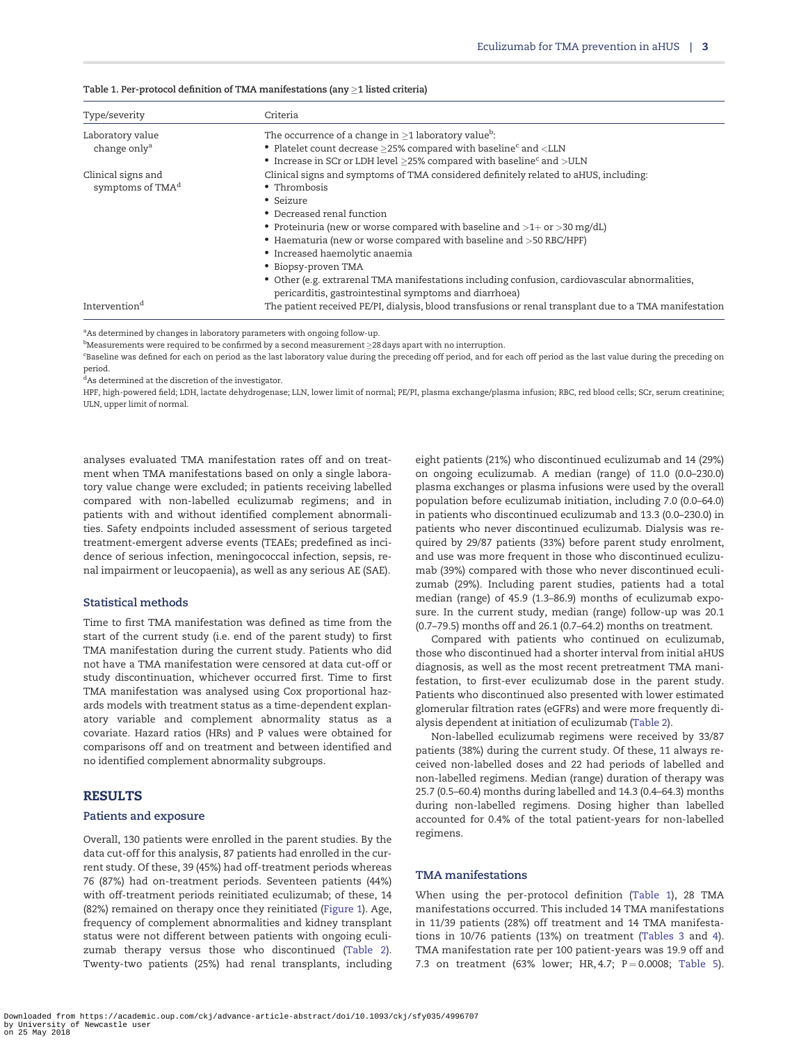<span id="page-2-0"></span>

| Table 1. Per-protocol definition of TMA manifestations (any $\geq$ 1 listed criteria) |  |  |  |  |
|---------------------------------------------------------------------------------------|--|--|--|--|
|---------------------------------------------------------------------------------------|--|--|--|--|

| Type/severity                | Criteria                                                                                                                                                 |
|------------------------------|----------------------------------------------------------------------------------------------------------------------------------------------------------|
| Laboratory value             | The occurrence of a change in $\geq 1$ laboratory value <sup>b</sup> :                                                                                   |
| change only <sup>a</sup>     | • Platelet count decrease $\geq$ 25% compared with baseline $^{\rm c}$ and $<$ LLN                                                                       |
|                              | • Increase in SCr or LDH level $\geq$ 25% compared with baseline $^{\rm c}$ and $>$ ULN                                                                  |
| Clinical signs and           | Clinical signs and symptoms of TMA considered definitely related to aHUS, including:                                                                     |
| symptoms of TMA <sup>d</sup> | • Thrombosis                                                                                                                                             |
|                              | • Seizure                                                                                                                                                |
|                              | • Decreased renal function                                                                                                                               |
|                              | • Proteinuria (new or worse compared with baseline and $>1$ + or $>$ 30 mg/dL)                                                                           |
|                              | • Haematuria (new or worse compared with baseline and >50 RBC/HPF)                                                                                       |
|                              | • Increased haemolytic anaemia                                                                                                                           |
|                              | • Biopsy-proven TMA                                                                                                                                      |
|                              | • Other (e.g. extrarenal TMA manifestations including confusion, cardiovascular abnormalities,<br>pericarditis, gastrointestinal symptoms and diarrhoea) |
| Intervention <sup>d</sup>    | The patient received PE/PI, dialysis, blood transfusions or renal transplant due to a TMA manifestation                                                  |

<sup>a</sup>As determined by changes in laboratory parameters with ongoing follow-up.

 $^{\rm b}$ Measurements were required to be confirmed by a second measurement  $\geq$ 28 days apart with no interruption.

c Baseline was defined for each on period as the last laboratory value during the preceding off period, and for each off period as the last value during the preceding on period.

<sup>d</sup>As determined at the discretion of the investigator.

HPF, high-powered field; LDH, lactate dehydrogenase; LLN, lower limit of normal; PE/PI, plasma exchange/plasma infusion; RBC, red blood cells; SCr, serum creatinine; ULN, upper limit of normal.

analyses evaluated TMA manifestation rates off and on treatment when TMA manifestations based on only a single laboratory value change were excluded; in patients receiving labelled compared with non-labelled eculizumab regimens; and in patients with and without identified complement abnormalities. Safety endpoints included assessment of serious targeted treatment-emergent adverse events (TEAEs; predefined as incidence of serious infection, meningococcal infection, sepsis, renal impairment or leucopaenia), as well as any serious AE (SAE).

#### Statistical methods

Time to first TMA manifestation was defined as time from the start of the current study (i.e. end of the parent study) to first TMA manifestation during the current study. Patients who did not have a TMA manifestation were censored at data cut-off or study discontinuation, whichever occurred first. Time to first TMA manifestation was analysed using Cox proportional hazards models with treatment status as a time-dependent explanatory variable and complement abnormality status as a covariate. Hazard ratios (HRs) and P values were obtained for comparisons off and on treatment and between identified and no identified complement abnormality subgroups.

#### RESULTS

#### Patients and exposure

Overall, 130 patients were enrolled in the parent studies. By the data cut-off for this analysis, 87 patients had enrolled in the current study. Of these, 39 (45%) had off-treatment periods whereas 76 (87%) had on-treatment periods. Seventeen patients (44%) with off-treatment periods reinitiated eculizumab; of these, 14 (82%) remained on therapy once they reinitiated ([Figure 1\)](#page-3-0). Age, frequency of complement abnormalities and kidney transplant status were not different between patients with ongoing eculizumab therapy versus those who discontinued ([Table 2\)](#page-4-0). Twenty-two patients (25%) had renal transplants, including eight patients (21%) who discontinued eculizumab and 14 (29%) on ongoing eculizumab. A median (range) of 11.0 (0.0–230.0) plasma exchanges or plasma infusions were used by the overall population before eculizumab initiation, including 7.0 (0.0–64.0) in patients who discontinued eculizumab and 13.3 (0.0–230.0) in patients who never discontinued eculizumab. Dialysis was required by 29/87 patients (33%) before parent study enrolment, and use was more frequent in those who discontinued eculizumab (39%) compared with those who never discontinued eculizumab (29%). Including parent studies, patients had a total median (range) of 45.9 (1.3–86.9) months of eculizumab exposure. In the current study, median (range) follow-up was 20.1 (0.7–79.5) months off and 26.1 (0.7–64.2) months on treatment.

Compared with patients who continued on eculizumab, those who discontinued had a shorter interval from initial aHUS diagnosis, as well as the most recent pretreatment TMA manifestation, to first-ever eculizumab dose in the parent study. Patients who discontinued also presented with lower estimated glomerular filtration rates (eGFRs) and were more frequently dialysis dependent at initiation of eculizumab ([Table 2\)](#page-4-0).

Non-labelled eculizumab regimens were received by 33/87 patients (38%) during the current study. Of these, 11 always received non-labelled doses and 22 had periods of labelled and non-labelled regimens. Median (range) duration of therapy was 25.7 (0.5–60.4) months during labelled and 14.3 (0.4–64.3) months during non-labelled regimens. Dosing higher than labelled accounted for 0.4% of the total patient-years for non-labelled regimens.

#### TMA manifestations

When using the per-protocol definition (Table 1), 28 TMA manifestations occurred. This included 14 TMA manifestations in 11/39 patients (28%) off treatment and 14 TMA manifestations in 10/76 patients (13%) on treatment ([Tables 3](#page-5-0) and [4\)](#page-6-0). TMA manifestation rate per 100 patient-years was 19.9 off and 7.3 on treatment (63% lower; HR, 4.7;  $P = 0.0008$ ; [Table 5\)](#page-6-0).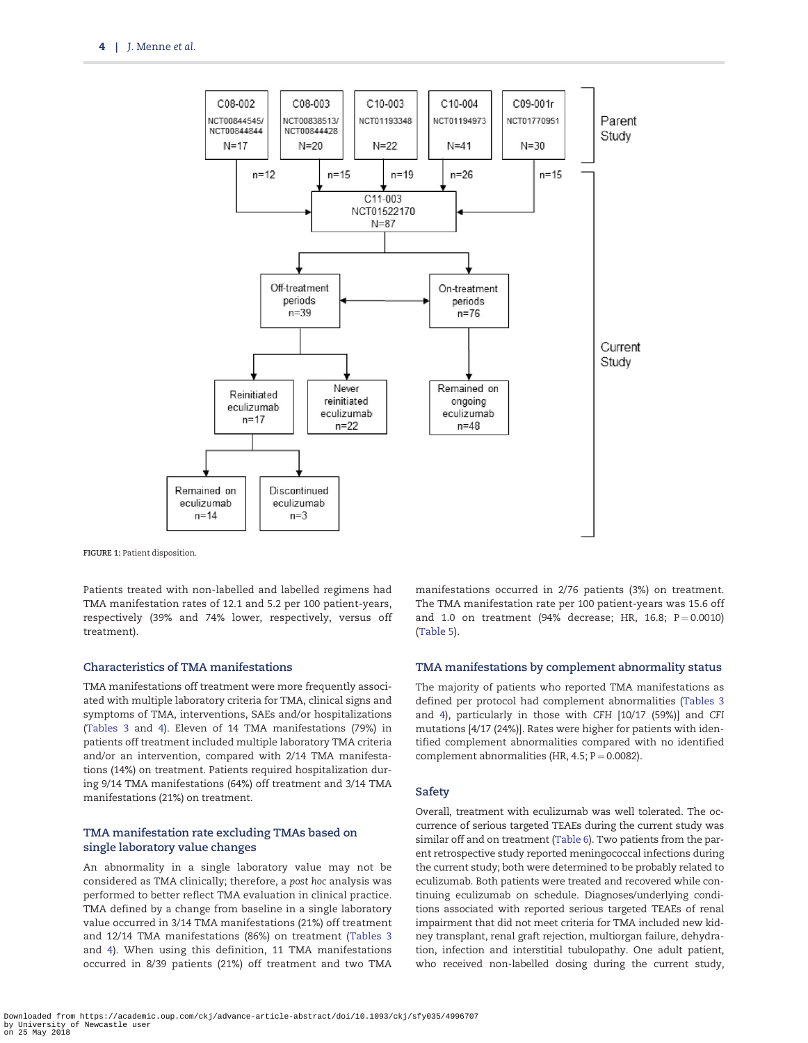<span id="page-3-0"></span>

FIGURE 1: Patient disposition.

Patients treated with non-labelled and labelled regimens had TMA manifestation rates of 12.1 and 5.2 per 100 patient-years, respectively (39% and 74% lower, respectively, versus off treatment).

#### Characteristics of TMA manifestations

TMA manifestations off treatment were more frequently associated with multiple laboratory criteria for TMA, clinical signs and symptoms of TMA, interventions, SAEs and/or hospitalizations [\(Tables 3](#page-5-0) and [4](#page-6-0)). Eleven of 14 TMA manifestations (79%) in patients off treatment included multiple laboratory TMA criteria and/or an intervention, compared with 2/14 TMA manifestations (14%) on treatment. Patients required hospitalization during 9/14 TMA manifestations (64%) off treatment and 3/14 TMA manifestations (21%) on treatment.

#### TMA manifestation rate excluding TMAs based on single laboratory value changes

An abnormality in a single laboratory value may not be considered as TMA clinically; therefore, a post hoc analysis was performed to better reflect TMA evaluation in clinical practice. TMA defined by a change from baseline in a single laboratory value occurred in 3/14 TMA manifestations (21%) off treatment and 12/14 TMA manifestations (86%) on treatment ([Tables 3](#page-5-0) and [4\)](#page-6-0). When using this definition, 11 TMA manifestations occurred in 8/39 patients (21%) off treatment and two TMA manifestations occurred in 2/76 patients (3%) on treatment. The TMA manifestation rate per 100 patient-years was 15.6 off and 1.0 on treatment (94% decrease; HR, 16.8;  $P = 0.0010$ ) ([Table 5](#page-6-0)).

#### TMA manifestations by complement abnormality status

The majority of patients who reported TMA manifestations as defined per protocol had complement abnormalities ([Tables 3](#page-5-0) and [4](#page-6-0)), particularly in those with CFH [10/17 (59%)] and CFI mutations [4/17 (24%)]. Rates were higher for patients with identified complement abnormalities compared with no identified complement abnormalities (HR, 4.5;  $P = 0.0082$ ).

#### Safety

Overall, treatment with eculizumab was well tolerated. The occurrence of serious targeted TEAEs during the current study was similar off and on treatment ([Table 6](#page-7-0)). Two patients from the parent retrospective study reported meningococcal infections during the current study; both were determined to be probably related to eculizumab. Both patients were treated and recovered while continuing eculizumab on schedule. Diagnoses/underlying conditions associated with reported serious targeted TEAEs of renal impairment that did not meet criteria for TMA included new kidney transplant, renal graft rejection, multiorgan failure, dehydration, infection and interstitial tubulopathy. One adult patient, who received non-labelled dosing during the current study,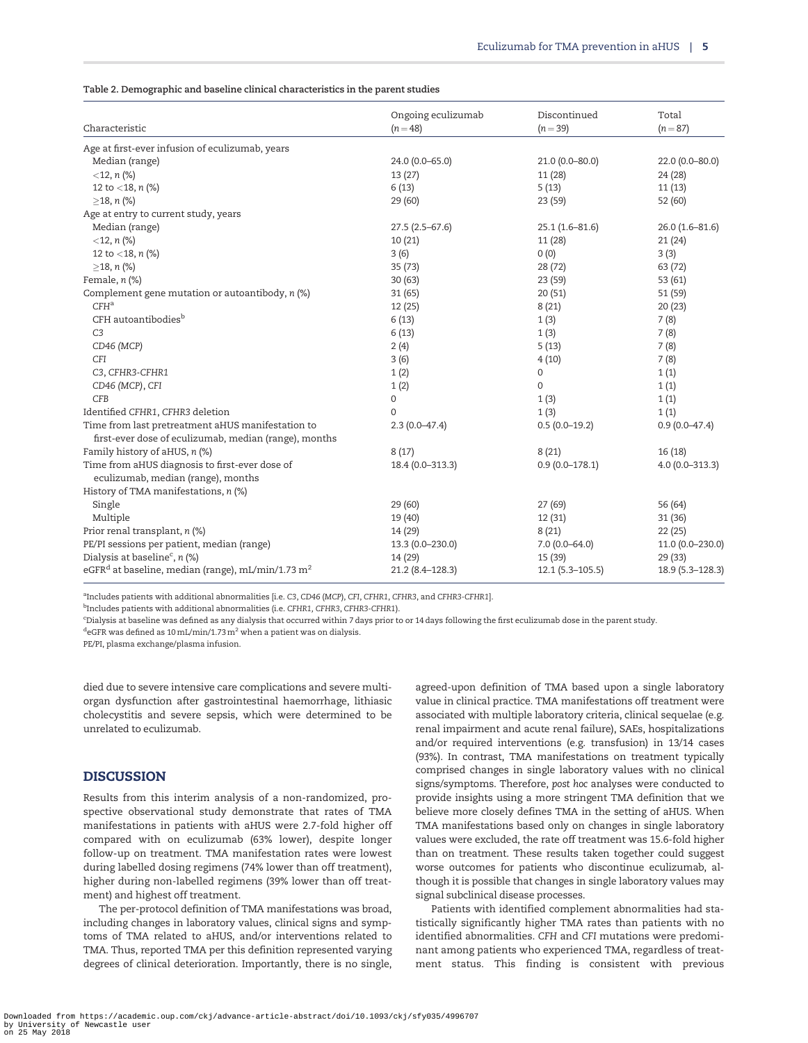<span id="page-4-0"></span>

|                                                                                      | Ongoing eculizumab | Discontinued         | Total              |
|--------------------------------------------------------------------------------------|--------------------|----------------------|--------------------|
| Characteristic                                                                       | $(n = 48)$         | $(n=39)$             | $(n = 87)$         |
| Age at first-ever infusion of eculizumab, years                                      |                    |                      |                    |
| Median (range)                                                                       | 24.0 (0.0-65.0)    | 21.0 (0.0-80.0)      | $22.0(0.0 - 80.0)$ |
| $<$ 12, n $(\%)$                                                                     | 13(27)             | 11(28)               | 24 (28)            |
| 12 to $<$ 18, n (%)                                                                  | 6(13)              | 5(13)                | 11(13)             |
| $\geq$ 18, n (%)                                                                     | 29(60)             | 23 (59)              | 52 (60)            |
| Age at entry to current study, years                                                 |                    |                      |                    |
| Median (range)                                                                       | $27.5(2.5-67.6)$   | $25.1(1.6 - 81.6)$   | $26.0(1.6 - 81.6)$ |
| $<$ 12, n $(\%)$                                                                     | 10(21)             | 11(28)               | 21(24)             |
| 12 to $<$ 18, n (%)                                                                  | 3(6)               | 0(0)                 | 3(3)               |
| $\geq$ 18, n (%)                                                                     | 35(73)             | 28 (72)              | 63 (72)            |
| Female, $n$ (%)                                                                      | 30(63)             | 23 (59)              | 53 (61)            |
| Complement gene mutation or autoantibody, n (%)                                      | 31 (65)            | 20(51)               | 51 (59)            |
| $CFH^a$                                                                              | 12(25)             | 8(21)                | 20(23)             |
| CFH autoantibodies <sup>b</sup>                                                      | 6(13)              | 1(3)                 | 7(8)               |
| C <sub>3</sub>                                                                       | 6(13)              | 1(3)                 | 7(8)               |
| CD46 (MCP)                                                                           | 2(4)               | 5(13)                | 7(8)               |
| CFI                                                                                  | 3(6)               | 4(10)                | 7(8)               |
| C3, CFHR3-CFHR1                                                                      | 1(2)               | 0                    | 1(1)               |
| CD46 (MCP), CFI                                                                      | 1(2)               | $\mathbf{0}$         | 1(1)               |
| CFB                                                                                  | 0                  | 1(3)                 | 1(1)               |
| Identified CFHR1, CFHR3 deletion                                                     | $\mathbf 0$        | 1(3)                 | 1(1)               |
| Time from last pretreatment aHUS manifestation to                                    | $2.3(0.0-47.4)$    | $0.5(0.0-19.2)$      | $0.9(0.0-47.4)$    |
| first-ever dose of eculizumab, median (range), months                                |                    |                      |                    |
| Family history of aHUS, n (%)                                                        | 8(17)              | 8(21)                | 16(18)             |
| Time from aHUS diagnosis to first-ever dose of<br>eculizumab, median (range), months | 18.4 (0.0-313.3)   | $0.9(0.0 - 178.1)$   | $4.0(0.0 - 313.3)$ |
| History of TMA manifestations, n (%)                                                 |                    |                      |                    |
| Single                                                                               | 29 (60)            | 27 (69)              | 56 (64)            |
| Multiple                                                                             | 19 (40)            | 12(31)               | 31(36)             |
| Prior renal transplant, n (%)                                                        | 14 (29)            | 8(21)                | 22(25)             |
| PE/PI sessions per patient, median (range)                                           | 13.3 (0.0-230.0)   | $7.0(0.0-64.0)$      | 11.0 (0.0-230.0)   |
| Dialysis at baseline <sup>c</sup> , $n$ (%)                                          | 14 (29)            | 15 (39)              | 29 (33)            |
| eGFR <sup>d</sup> at baseline, median (range), mL/min/1.73 m <sup>2</sup>            | 21.2 (8.4-128.3)   | $12.1 (5.3 - 105.5)$ | 18.9 (5.3-128.3)   |
|                                                                                      |                    |                      |                    |

<sup>a</sup>Includes patients with additional abnormalities [i.e. C3, CD46 (MCP), CFI, CFHR1, CFHR3, and CFHR3-CFHR1].

<sup>b</sup>Includes patients with additional abnormalities (i.e. CFHR1, CFHR3, CFHR3-CFHR1).

c Dialysis at baseline was defined as any dialysis that occurred within 7 days prior to or 14 days following the first eculizumab dose in the parent study.

 $^{\text{d}}$ eGFR was defined as 10 mL/min/1.73 m $^2$  when a patient was on dialysis.

PE/PI, plasma exchange/plasma infusion.

died due to severe intensive care complications and severe multiorgan dysfunction after gastrointestinal haemorrhage, lithiasic cholecystitis and severe sepsis, which were determined to be unrelated to eculizumab.

## **DISCUSSION**

Results from this interim analysis of a non-randomized, prospective observational study demonstrate that rates of TMA manifestations in patients with aHUS were 2.7-fold higher off compared with on eculizumab (63% lower), despite longer follow-up on treatment. TMA manifestation rates were lowest during labelled dosing regimens (74% lower than off treatment), higher during non-labelled regimens (39% lower than off treatment) and highest off treatment.

The per-protocol definition of TMA manifestations was broad, including changes in laboratory values, clinical signs and symptoms of TMA related to aHUS, and/or interventions related to TMA. Thus, reported TMA per this definition represented varying degrees of clinical deterioration. Importantly, there is no single,

agreed-upon definition of TMA based upon a single laboratory value in clinical practice. TMA manifestations off treatment were associated with multiple laboratory criteria, clinical sequelae (e.g. renal impairment and acute renal failure), SAEs, hospitalizations and/or required interventions (e.g. transfusion) in 13/14 cases (93%). In contrast, TMA manifestations on treatment typically comprised changes in single laboratory values with no clinical signs/symptoms. Therefore, post hoc analyses were conducted to provide insights using a more stringent TMA definition that we believe more closely defines TMA in the setting of aHUS. When TMA manifestations based only on changes in single laboratory values were excluded, the rate off treatment was 15.6-fold higher than on treatment. These results taken together could suggest worse outcomes for patients who discontinue eculizumab, although it is possible that changes in single laboratory values may signal subclinical disease processes.

Patients with identified complement abnormalities had statistically significantly higher TMA rates than patients with no identified abnormalities. CFH and CFI mutations were predominant among patients who experienced TMA, regardless of treatment status. This finding is consistent with previous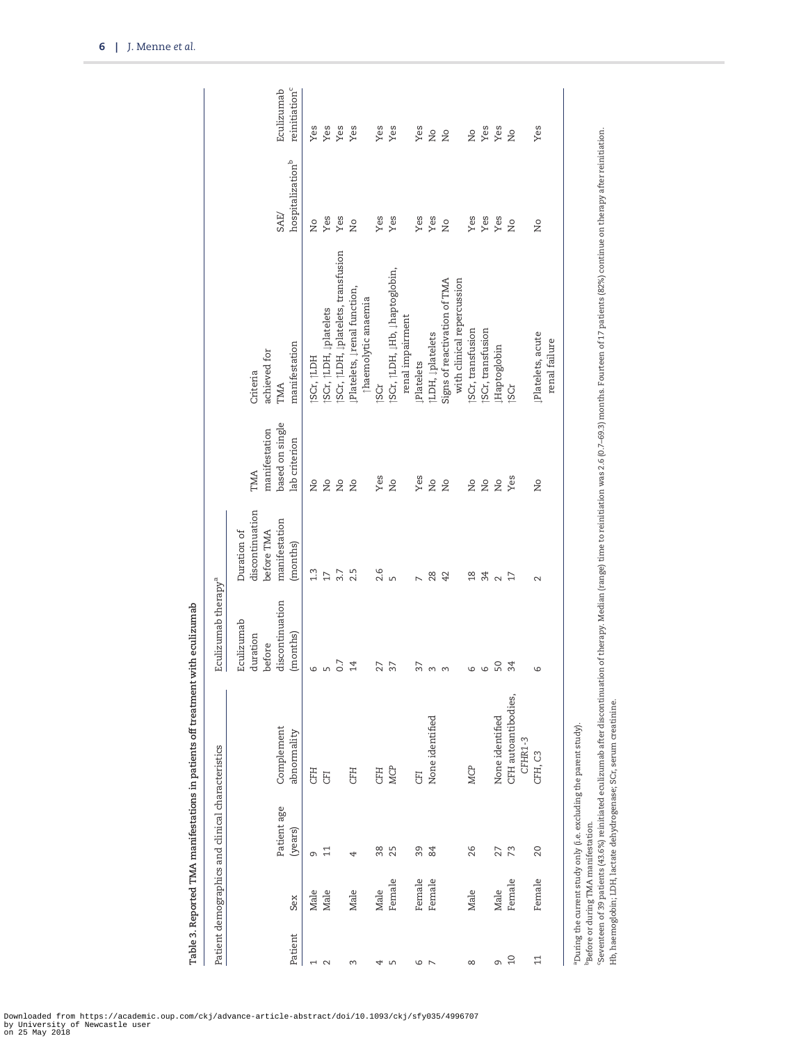|                          |                                                  | Patient demographics and clinical characteristics |                                                                                                                                                                                                                            | Eculizumab therapy <sup>a</sup>                                 |                                                                           |                                                          |                                                                                                                                                     |                                      |                                         |
|--------------------------|--------------------------------------------------|---------------------------------------------------|----------------------------------------------------------------------------------------------------------------------------------------------------------------------------------------------------------------------------|-----------------------------------------------------------------|---------------------------------------------------------------------------|----------------------------------------------------------|-----------------------------------------------------------------------------------------------------------------------------------------------------|--------------------------------------|-----------------------------------------|
| Patient                  | Sex                                              | Patient age<br>(years)                            | Complement<br>abnormality                                                                                                                                                                                                  | discontinuation<br>Eculizumab<br>(months)<br>duration<br>before | discontinuation<br>manifestation<br>before TMA<br>Duration of<br>(months) | based on single<br>manifestation<br>lab criterion<br>TMA | manifestation<br>achieved for<br>Criteria<br>TMA                                                                                                    | hospitalization <sup>b</sup><br>SAE/ | reinitiation <sup>c</sup><br>Eculizumab |
| $\overline{\phantom{0}}$ | Male                                             | G                                                 | <b>CFH</b>                                                                                                                                                                                                                 | 6                                                               | 1.3                                                                       | Σó                                                       | SCr, [LDH                                                                                                                                           | δ                                    | Yes                                     |
| $\sim$                   | Male                                             | $\Xi$                                             | <b>GFI</b>                                                                                                                                                                                                                 | $\mathsf{L}\cap$                                                | 17                                                                        | $\overline{\mathsf{a}}$                                  | SCr, [LDH, lplatelets                                                                                                                               | Yes                                  | Yes                                     |
|                          |                                                  |                                                   |                                                                                                                                                                                                                            | 0.7                                                             | 3.7                                                                       | $\overline{a}$                                           | SCr, †LDH, Įplatelets, transfusion                                                                                                                  | Yes                                  | Yes                                     |
| 3                        | Male                                             | 4                                                 | <b>CFH</b>                                                                                                                                                                                                                 | 14                                                              | 2.5                                                                       | Σò                                                       | Platelets, Įrenal function,<br>thaemolytic anaemia                                                                                                  | $\overline{a}$                       | Yes                                     |
| 4                        | Male                                             | 38                                                | <b>CFH</b>                                                                                                                                                                                                                 | 27                                                              | 2.6                                                                       | Yes                                                      | <b>SCr</b>                                                                                                                                          | Yes                                  | Yes                                     |
| LN                       | Female                                           | 25                                                | MCP                                                                                                                                                                                                                        | 37                                                              | $\sqrt{ }$                                                                | $\frac{1}{2}$                                            | SCr, †LDH, ↓Hb, ↓haptoglobin,                                                                                                                       | Yes                                  | Yes                                     |
|                          |                                                  |                                                   |                                                                                                                                                                                                                            |                                                                 |                                                                           |                                                          | renal impairment                                                                                                                                    |                                      |                                         |
| 6                        | Female                                           | 39                                                | <b>GFI</b>                                                                                                                                                                                                                 | 37                                                              |                                                                           | Yes                                                      | <b>LPlatelets</b>                                                                                                                                   | Yes                                  | Yes                                     |
| $\overline{ }$           | Female                                           | 84                                                | None identified                                                                                                                                                                                                            | $\infty$                                                        | 28                                                                        | $\overline{a}$                                           | <b>[LDH, Įplatelets</b>                                                                                                                             | Yes                                  | $\stackrel{\mathtt{o}}{\mathtt{g}}$     |
|                          |                                                  |                                                   |                                                                                                                                                                                                                            | $\infty$                                                        | 42                                                                        | $\overline{\mathsf{a}}$                                  | Signs of reactivation of TMA                                                                                                                        | $\overline{a}$                       | $\overline{\mathsf{S}}$                 |
|                          |                                                  |                                                   |                                                                                                                                                                                                                            |                                                                 |                                                                           |                                                          | with clinical repercussion                                                                                                                          |                                      |                                         |
| $\infty$                 | Male                                             | 26                                                | <b>MCP</b>                                                                                                                                                                                                                 | 9                                                               | $\frac{8}{18}$                                                            | ΣÓ                                                       | SCr, transfusion                                                                                                                                    | Yes                                  | $\frac{1}{2}$                           |
|                          |                                                  |                                                   |                                                                                                                                                                                                                            | $\circ$                                                         | 34                                                                        | $\overline{\mathsf{a}}$                                  | SCr, transfusion                                                                                                                                    | Yes                                  | Yes                                     |
| G                        | Male                                             | 27                                                | None identified                                                                                                                                                                                                            | 50                                                              | $\sim$                                                                    | $\overline{\mathsf{a}}$                                  | Haptoglobin                                                                                                                                         | Yes                                  | Yes                                     |
| $\Omega$                 | Female                                           | 73                                                | CFH autoantibodies,<br>CFHR1-3                                                                                                                                                                                             | 34                                                              | $\overline{17}$                                                           | Yes                                                      | 5Cr                                                                                                                                                 | $\overline{a}$                       | δ                                       |
| $\overline{11}$          | Female                                           | 20                                                | CFH, C3                                                                                                                                                                                                                    | ဖ                                                               | $\mathbf{\sim}$                                                           | $\frac{1}{2}$                                            | ↓Platelets, acute<br>renal failure                                                                                                                  | ž                                    | Yes                                     |
|                          | <sup>b</sup> Before or during TMA manifestation. |                                                   | Seventeen of 39 patients (43.6%) reinitiated eculizumab after discontinuation<br>Hb, haemoglobin; LDH, lactate dehydrogenase; SCr, serum creatinine.<br>a During the current study only (i.e. excluding the parent study). |                                                                 |                                                                           |                                                          | on of therapy. Median (range) time to reinitiation was 2.6 (0.7–69.3) months. Fourteen of 17 patients (82%) continue on therapy after reinitiation. |                                      |                                         |

Table 3. Reported TMA manifestations in patients off treatment with eculizumab Table 3. Reported TMA manifestations in patients off treatment with eculizumab

<span id="page-5-0"></span>6 | J. Menne et al.

Downloaded from https://academic.oup.com/ckj/advance-article-abstract/doi/10.1093/ckj/sfy035/4996707 by University of Newcastle user on 25 May 2018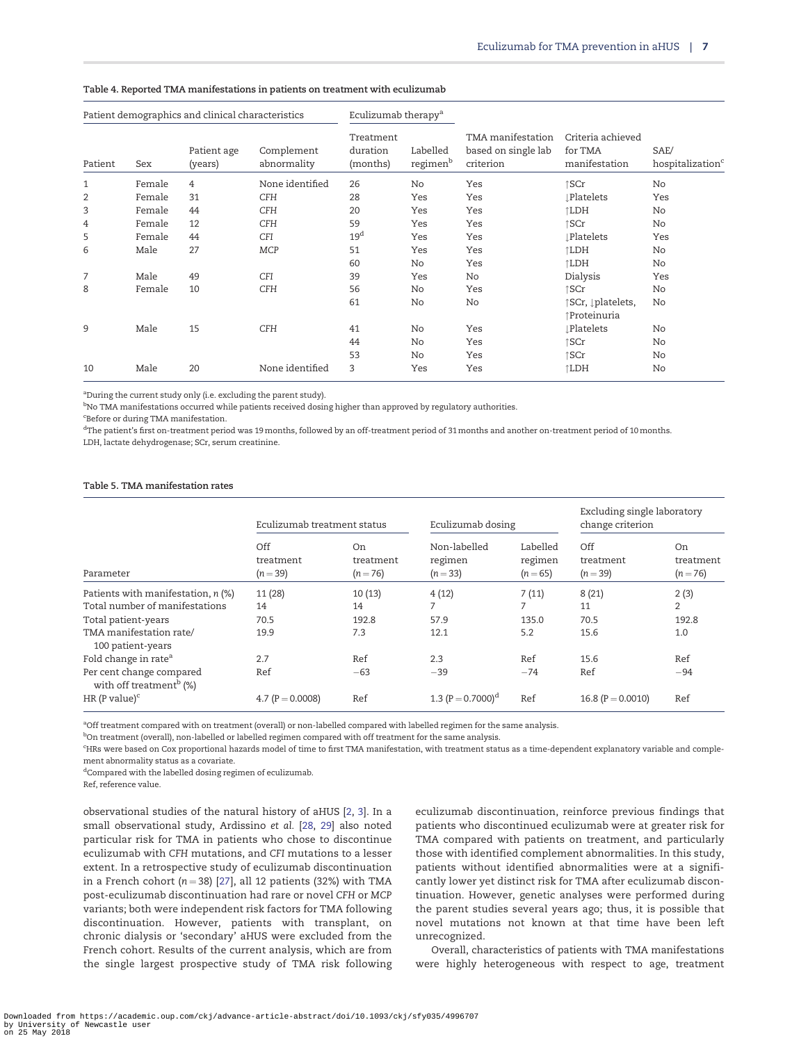| Patient demographics and clinical characteristics |        |                        | Eculizumab therapy <sup>a</sup> |                                   |                                  |                                                       |                                               |                                      |
|---------------------------------------------------|--------|------------------------|---------------------------------|-----------------------------------|----------------------------------|-------------------------------------------------------|-----------------------------------------------|--------------------------------------|
| Patient                                           | Sex    | Patient age<br>(years) | Complement<br>abnormality       | Treatment<br>duration<br>(months) | Labelled<br>regimen <sup>b</sup> | TMA manifestation<br>based on single lab<br>criterion | Criteria achieved<br>for TMA<br>manifestation | SAE/<br>hospitalization <sup>c</sup> |
| 1                                                 | Female | 4                      | None identified                 | 26                                | No                               | Yes                                                   | ↑SCr                                          | No                                   |
| 2                                                 | Female | 31                     | <b>CFH</b>                      | 28                                | Yes                              | Yes                                                   | <b>Platelets</b>                              | Yes                                  |
| 3                                                 | Female | 44                     | <b>CFH</b>                      | 20                                | Yes                              | Yes                                                   | ↑LDH                                          | No                                   |
| 4                                                 | Female | 12                     | <b>CFH</b>                      | 59                                | Yes                              | Yes                                                   | ↑SCr                                          | No                                   |
| 5                                                 | Female | 44                     | <b>CFI</b>                      | 19 <sup>d</sup>                   | Yes                              | Yes                                                   | <b>Platelets</b>                              | Yes                                  |
| 6                                                 | Male   | 27                     | <b>MCP</b>                      | 51                                | Yes                              | Yes                                                   | ↑LDH                                          | No                                   |
|                                                   |        |                        |                                 | 60                                | No                               | Yes                                                   | ↑LDH                                          | No                                   |
| 7                                                 | Male   | 49                     | <b>CFI</b>                      | 39                                | Yes                              | No                                                    | Dialysis                                      | Yes                                  |
| 8                                                 | Female | 10                     | <b>CFH</b>                      | 56                                | No                               | Yes                                                   | ↑SCr                                          | No                                   |
|                                                   |        |                        |                                 | 61                                | No                               | No                                                    | ↑SCr, ↓platelets,<br>↑Proteinuria             | No                                   |
| 9                                                 | Male   | 15                     | <b>CFH</b>                      | 41                                | No                               | Yes                                                   | <b>Platelets</b>                              | No                                   |
|                                                   |        |                        |                                 | 44                                | No                               | Yes                                                   | ↑SCr                                          | No                                   |
|                                                   |        |                        |                                 | 53                                | No                               | Yes                                                   | ↑SCr                                          | No                                   |
| 10                                                | Male   | 20                     | None identified                 | 3                                 | Yes                              | Yes                                                   | ↑LDH                                          | No                                   |

#### <span id="page-6-0"></span>Table 4. Reported TMA manifestations in patients on treatment with eculizumab

aDuring the current study only (i.e. excluding the parent study).

 $^{\rm b}$ No TMA manifestations occurred while patients received dosing higher than approved by regulatory authorities.

c Before or during TMA manifestation.

 $^{\rm d}$ The patient's first on-treatment period was 19 months, followed by an off-treatment period of 31 months and another on-treatment period of 10 months. LDH, lactate dehydrogenase; SCr, serum creatinine.

#### Table 5. TMA manifestation rates

|                                                                 | Eculizumab treatment status    |                               | Eculizumab dosing                   |                                 | Excluding single laboratory<br>change criterion |                                           |
|-----------------------------------------------------------------|--------------------------------|-------------------------------|-------------------------------------|---------------------------------|-------------------------------------------------|-------------------------------------------|
| Parameter                                                       | Off<br>treatment<br>$(n = 39)$ | On<br>treatment<br>$(n = 76)$ | Non-labelled<br>regimen<br>$(n=33)$ | Labelled<br>regimen<br>$(n=65)$ | Off<br>treatment<br>$(n=39)$                    | O <sub>n</sub><br>treatment<br>$(n = 76)$ |
| Patients with manifestation, $n$ (%)                            | 11(28)                         | 10(13)                        | 4(12)                               | 7(11)                           | 8(21)                                           | 2(3)                                      |
| Total number of manifestations                                  | 14                             | 14                            | 7                                   | 7                               | 11                                              | $\overline{2}$                            |
| Total patient-years                                             | 70.5                           | 192.8                         | 57.9                                | 135.0                           | 70.5                                            | 192.8                                     |
| TMA manifestation rate/<br>100 patient-years                    | 19.9                           | 7.3                           | 12.1                                | 5.2                             | 15.6                                            | 1.0                                       |
| Fold change in rate <sup>a</sup>                                | 2.7                            | Ref                           | 2.3                                 | Ref                             | 15.6                                            | Ref                                       |
| Per cent change compared<br>with off treatment <sup>b</sup> (%) | Ref                            | $-63$                         | $-39$                               | $-74$                           | Ref                                             | $-94$                                     |
| HR (P value) $\text{c}$                                         | 4.7 ( $P = 0.0008$ )           | Ref                           | 1.3 $(P = 0.7000)^d$                | Ref                             | 16.8 ( $P = 0.0010$ )                           | Ref                                       |

a Off treatment compared with on treatment (overall) or non-labelled compared with labelled regimen for the same analysis.

<sup>b</sup>On treatment (overall), non-labelled or labelled regimen compared with off treatment for the same analysis.

c HRs were based on Cox proportional hazards model of time to first TMA manifestation, with treatment status as a time-dependent explanatory variable and complement abnormality status as a covariate.

dCompared with the labelled dosing regimen of eculizumab.

Ref, reference value.

observational studies of the natural history of aHUS [[2,](#page-8-0) [3\]](#page-8-0). In a small observational study, Ardissino et al. [\[28](#page-9-0), [29](#page-9-0)] also noted particular risk for TMA in patients who chose to discontinue eculizumab with CFH mutations, and CFI mutations to a lesser extent. In a retrospective study of eculizumab discontinuation in a French cohort ( $n = 38$ ) [\[27\]](#page-9-0), all 12 patients (32%) with TMA post-eculizumab discontinuation had rare or novel CFH or MCP variants; both were independent risk factors for TMA following discontinuation. However, patients with transplant, on chronic dialysis or 'secondary' aHUS were excluded from the French cohort. Results of the current analysis, which are from the single largest prospective study of TMA risk following eculizumab discontinuation, reinforce previous findings that patients who discontinued eculizumab were at greater risk for TMA compared with patients on treatment, and particularly those with identified complement abnormalities. In this study, patients without identified abnormalities were at a significantly lower yet distinct risk for TMA after eculizumab discontinuation. However, genetic analyses were performed during the parent studies several years ago; thus, it is possible that novel mutations not known at that time have been left unrecognized.

Overall, characteristics of patients with TMA manifestations were highly heterogeneous with respect to age, treatment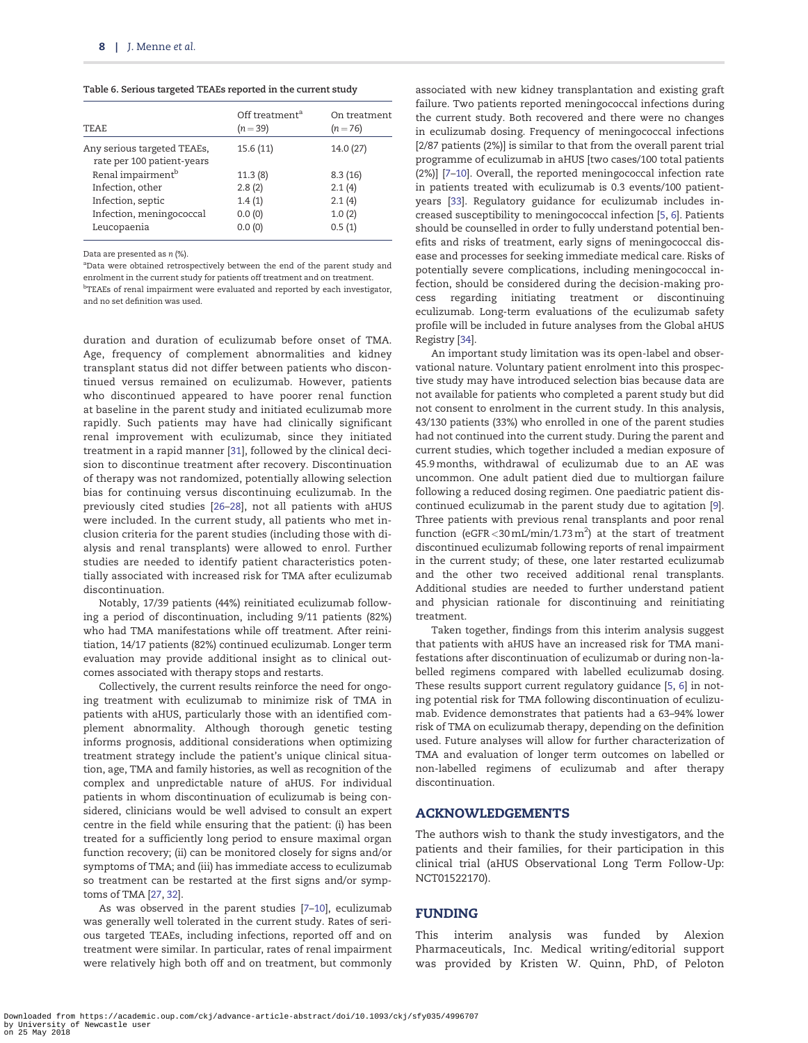<span id="page-7-0"></span>Table 6. Serious targeted TEAEs reported in the current study

| <b>TEAE</b>                                               | Off treatment <sup>a</sup><br>$(n=39)$ | On treatment<br>$(n=76)$ |
|-----------------------------------------------------------|----------------------------------------|--------------------------|
| Any serious targeted TEAEs,<br>rate per 100 patient-years | 15.6(11)                               | 14.0 (27)                |
| Renal impairment <sup>b</sup>                             | 11.3(8)                                | 8.3(16)                  |
| Infection, other                                          | 2.8(2)                                 | 2.1(4)                   |
| Infection, septic                                         | 1.4(1)                                 | 2.1(4)                   |
| Infection, meningococcal                                  | 0.0(0)                                 | 1.0(2)                   |
| Leucopaenia                                               | 0.0(0)                                 | 0.5(1)                   |

Data are presented as  $n$  (%).

<sup>a</sup>Data were obtained retrospectively between the end of the parent study and enrolment in the current study for patients off treatment and on treatment. <sup>b</sup>TEAEs of renal impairment were evaluated and reported by each investigator, and no set definition was used.

duration and duration of eculizumab before onset of TMA. Age, frequency of complement abnormalities and kidney transplant status did not differ between patients who discontinued versus remained on eculizumab. However, patients who discontinued appeared to have poorer renal function at baseline in the parent study and initiated eculizumab more rapidly. Such patients may have had clinically significant renal improvement with eculizumab, since they initiated treatment in a rapid manner [[31](#page-9-0)], followed by the clinical decision to discontinue treatment after recovery. Discontinuation of therapy was not randomized, potentially allowing selection bias for continuing versus discontinuing eculizumab. In the previously cited studies [[26–28\]](#page-9-0), not all patients with aHUS were included. In the current study, all patients who met inclusion criteria for the parent studies (including those with dialysis and renal transplants) were allowed to enrol. Further studies are needed to identify patient characteristics potentially associated with increased risk for TMA after eculizumab discontinuation.

Notably, 17/39 patients (44%) reinitiated eculizumab following a period of discontinuation, including 9/11 patients (82%) who had TMA manifestations while off treatment. After reinitiation, 14/17 patients (82%) continued eculizumab. Longer term evaluation may provide additional insight as to clinical outcomes associated with therapy stops and restarts.

Collectively, the current results reinforce the need for ongoing treatment with eculizumab to minimize risk of TMA in patients with aHUS, particularly those with an identified complement abnormality. Although thorough genetic testing informs prognosis, additional considerations when optimizing treatment strategy include the patient's unique clinical situation, age, TMA and family histories, as well as recognition of the complex and unpredictable nature of aHUS. For individual patients in whom discontinuation of eculizumab is being considered, clinicians would be well advised to consult an expert centre in the field while ensuring that the patient: (i) has been treated for a sufficiently long period to ensure maximal organ function recovery; (ii) can be monitored closely for signs and/or symptoms of TMA; and (iii) has immediate access to eculizumab so treatment can be restarted at the first signs and/or symptoms of TMA [\[27,](#page-9-0) [32\]](#page-9-0).

As was observed in the parent studies [\[7–10\]](#page-8-0), eculizumab was generally well tolerated in the current study. Rates of serious targeted TEAEs, including infections, reported off and on treatment were similar. In particular, rates of renal impairment were relatively high both off and on treatment, but commonly

associated with new kidney transplantation and existing graft failure. Two patients reported meningococcal infections during the current study. Both recovered and there were no changes in eculizumab dosing. Frequency of meningococcal infections [2/87 patients (2%)] is similar to that from the overall parent trial programme of eculizumab in aHUS [two cases/100 total patients (2%)] [[7–10\]](#page-8-0). Overall, the reported meningococcal infection rate in patients treated with eculizumab is 0.3 events/100 patientyears [[33](#page-9-0)]. Regulatory guidance for eculizumab includes increased susceptibility to meningococcal infection [\[5,](#page-8-0) [6\]](#page-8-0). Patients should be counselled in order to fully understand potential benefits and risks of treatment, early signs of meningococcal disease and processes for seeking immediate medical care. Risks of potentially severe complications, including meningococcal infection, should be considered during the decision-making process regarding initiating treatment or discontinuing eculizumab. Long-term evaluations of the eculizumab safety profile will be included in future analyses from the Global aHUS Registry [[34](#page-9-0)].

An important study limitation was its open-label and observational nature. Voluntary patient enrolment into this prospective study may have introduced selection bias because data are not available for patients who completed a parent study but did not consent to enrolment in the current study. In this analysis, 43/130 patients (33%) who enrolled in one of the parent studies had not continued into the current study. During the parent and current studies, which together included a median exposure of 45.9 months, withdrawal of eculizumab due to an AE was uncommon. One adult patient died due to multiorgan failure following a reduced dosing regimen. One paediatric patient discontinued eculizumab in the parent study due to agitation [[9\]](#page-8-0). Three patients with previous renal transplants and poor renal function (eGFR < 30 mL/min/1.73 m<sup>2</sup>) at the start of treatment discontinued eculizumab following reports of renal impairment in the current study; of these, one later restarted eculizumab and the other two received additional renal transplants. Additional studies are needed to further understand patient and physician rationale for discontinuing and reinitiating treatment.

Taken together, findings from this interim analysis suggest that patients with aHUS have an increased risk for TMA manifestations after discontinuation of eculizumab or during non-labelled regimens compared with labelled eculizumab dosing. These results support current regulatory guidance [\[5](#page-8-0), [6\]](#page-8-0) in noting potential risk for TMA following discontinuation of eculizumab. Evidence demonstrates that patients had a 63–94% lower risk of TMA on eculizumab therapy, depending on the definition used. Future analyses will allow for further characterization of TMA and evaluation of longer term outcomes on labelled or non-labelled regimens of eculizumab and after therapy discontinuation.

#### ACKNOWLEDGEMENTS

The authors wish to thank the study investigators, and the patients and their families, for their participation in this clinical trial (aHUS Observational Long Term Follow-Up: NCT01522170).

## FUNDING

This interim analysis was funded by Alexion Pharmaceuticals, Inc. Medical writing/editorial support was provided by Kristen W. Quinn, PhD, of Peloton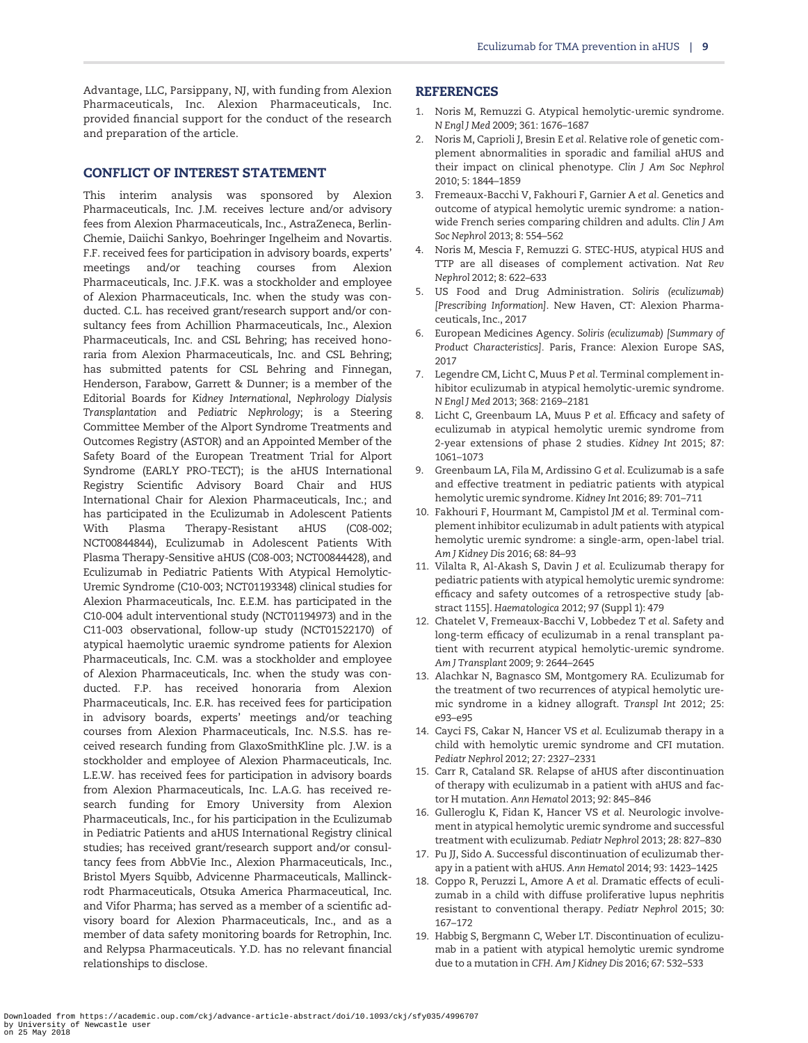<span id="page-8-0"></span>Advantage, LLC, Parsippany, NJ, with funding from Alexion Pharmaceuticals, Inc. Alexion Pharmaceuticals, Inc. provided financial support for the conduct of the research and preparation of the article.

## CONFLICT OF INTEREST STATEMENT

This interim analysis was sponsored by Alexion Pharmaceuticals, Inc. J.M. receives lecture and/or advisory fees from Alexion Pharmaceuticals, Inc., AstraZeneca, Berlin-Chemie, Daiichi Sankyo, Boehringer Ingelheim and Novartis. F.F. received fees for participation in advisory boards, experts' meetings and/or teaching courses from Alexion Pharmaceuticals, Inc. J.F.K. was a stockholder and employee of Alexion Pharmaceuticals, Inc. when the study was conducted. C.L. has received grant/research support and/or consultancy fees from Achillion Pharmaceuticals, Inc., Alexion Pharmaceuticals, Inc. and CSL Behring; has received honoraria from Alexion Pharmaceuticals, Inc. and CSL Behring; has submitted patents for CSL Behring and Finnegan, Henderson, Farabow, Garrett & Dunner; is a member of the Editorial Boards for Kidney International, Nephrology Dialysis Transplantation and Pediatric Nephrology; is a Steering Committee Member of the Alport Syndrome Treatments and Outcomes Registry (ASTOR) and an Appointed Member of the Safety Board of the European Treatment Trial for Alport Syndrome (EARLY PRO-TECT); is the aHUS International Registry Scientific Advisory Board Chair and HUS International Chair for Alexion Pharmaceuticals, Inc.; and has participated in the Eculizumab in Adolescent Patients With Plasma Therapy-Resistant aHUS (C08-002; NCT00844844), Eculizumab in Adolescent Patients With Plasma Therapy-Sensitive aHUS (C08-003; NCT00844428), and Eculizumab in Pediatric Patients With Atypical Hemolytic-Uremic Syndrome (C10-003; NCT01193348) clinical studies for Alexion Pharmaceuticals, Inc. E.E.M. has participated in the C10-004 adult interventional study (NCT01194973) and in the C11-003 observational, follow-up study (NCT01522170) of atypical haemolytic uraemic syndrome patients for Alexion Pharmaceuticals, Inc. C.M. was a stockholder and employee of Alexion Pharmaceuticals, Inc. when the study was conducted. F.P. has received honoraria from Alexion Pharmaceuticals, Inc. E.R. has received fees for participation in advisory boards, experts' meetings and/or teaching courses from Alexion Pharmaceuticals, Inc. N.S.S. has received research funding from GlaxoSmithKline plc. J.W. is a stockholder and employee of Alexion Pharmaceuticals, Inc. L.E.W. has received fees for participation in advisory boards from Alexion Pharmaceuticals, Inc. L.A.G. has received research funding for Emory University from Alexion Pharmaceuticals, Inc., for his participation in the Eculizumab in Pediatric Patients and aHUS International Registry clinical studies; has received grant/research support and/or consultancy fees from AbbVie Inc., Alexion Pharmaceuticals, Inc., Bristol Myers Squibb, Advicenne Pharmaceuticals, Mallinckrodt Pharmaceuticals, Otsuka America Pharmaceutical, Inc. and Vifor Pharma; has served as a member of a scientific advisory board for Alexion Pharmaceuticals, Inc., and as a member of data safety monitoring boards for Retrophin, Inc. and Relypsa Pharmaceuticals. Y.D. has no relevant financial relationships to disclose.

#### REFERENCES

- [1](#page-1-0). Noris M, Remuzzi G. Atypical hemolytic-uremic syndrome. N Engl J Med 2009; 361: 1676–1687
- [2](#page-1-0). Noris M, Caprioli J, Bresin E et al. Relative role of genetic complement abnormalities in sporadic and familial aHUS and their impact on clinical phenotype. Clin J Am Soc Nephrol 2010; 5: 1844–1859
- [3](#page-1-0). Fremeaux-Bacchi V, Fakhouri F, Garnier A et al. Genetics and outcome of atypical hemolytic uremic syndrome: a nationwide French series comparing children and adults. Clin J Am Soc Nephrol 2013; 8: 554–562
- [4](#page-1-0). Noris M, Mescia F, Remuzzi G. STEC-HUS, atypical HUS and TTP are all diseases of complement activation. Nat Rev Nephrol 2012; 8: 622–633
- [5](#page-1-0). US Food and Drug Administration. Soliris (eculizumab) [Prescribing Information]. New Haven, CT: Alexion Pharmaceuticals, Inc., 2017
- [6](#page-1-0). European Medicines Agency. Soliris (eculizumab) [Summary of Product Characteristics]. Paris, France: Alexion Europe SAS, 2017
- [7](#page-1-0). Legendre CM, Licht C, Muus P et al. Terminal complement inhibitor eculizumab in atypical hemolytic-uremic syndrome. N Engl J Med 2013; 368: 2169–2181
- [8](#page-1-0). Licht C, Greenbaum LA, Muus P et al. Efficacy and safety of eculizumab in atypical hemolytic uremic syndrome from 2-year extensions of phase 2 studies. Kidney Int 2015; 87: 1061–1073
- [9](#page-1-0). Greenbaum LA, Fila M, Ardissino G et al. Eculizumab is a safe and effective treatment in pediatric patients with atypical hemolytic uremic syndrome. Kidney Int 2016; 89: 701–711
- [10](#page-1-0). Fakhouri F, Hourmant M, Campistol JM et al. Terminal complement inhibitor eculizumab in adult patients with atypical hemolytic uremic syndrome: a single-arm, open-label trial. Am J Kidney Dis 2016; 68: 84–93
- [11](#page-1-0). Vilalta R, Al-Akash S, Davin J et al. Eculizumab therapy for pediatric patients with atypical hemolytic uremic syndrome: efficacy and safety outcomes of a retrospective study [abstract 1155]. Haematologica 2012; 97 (Suppl 1): 479
- 12. Chatelet V, Fremeaux-Bacchi V, Lobbedez T et al. Safety and long-term efficacy of eculizumab in a renal transplant patient with recurrent atypical hemolytic-uremic syndrome. Am J Transplant 2009; 9: 2644–2645
- 13. Alachkar N, Bagnasco SM, Montgomery RA. Eculizumab for the treatment of two recurrences of atypical hemolytic uremic syndrome in a kidney allograft. Transpl Int 2012; 25: e93–e95
- 14. Cayci FS, Cakar N, Hancer VS et al. Eculizumab therapy in a child with hemolytic uremic syndrome and CFI mutation. Pediatr Nephrol 2012; 27: 2327–2331
- 15. Carr R, Cataland SR. Relapse of aHUS after discontinuation of therapy with eculizumab in a patient with aHUS and factor H mutation. Ann Hematol 2013; 92: 845–846
- 16. Gulleroglu K, Fidan K, Hancer VS et al. Neurologic involvement in atypical hemolytic uremic syndrome and successful treatment with eculizumab. Pediatr Nephrol 2013; 28: 827–830
- 17. Pu JJ, Sido A. Successful discontinuation of eculizumab therapy in a patient with aHUS. Ann Hematol 2014; 93: 1423–1425
- 18. Coppo R, Peruzzi L, Amore A et al. Dramatic effects of eculizumab in a child with diffuse proliferative lupus nephritis resistant to conventional therapy. Pediatr Nephrol 2015; 30: 167–172
- 19. Habbig S, Bergmann C, Weber LT. Discontinuation of eculizumab in a patient with atypical hemolytic uremic syndrome due to a mutation in CFH. Am J Kidney Dis 2016; 67: 532–533